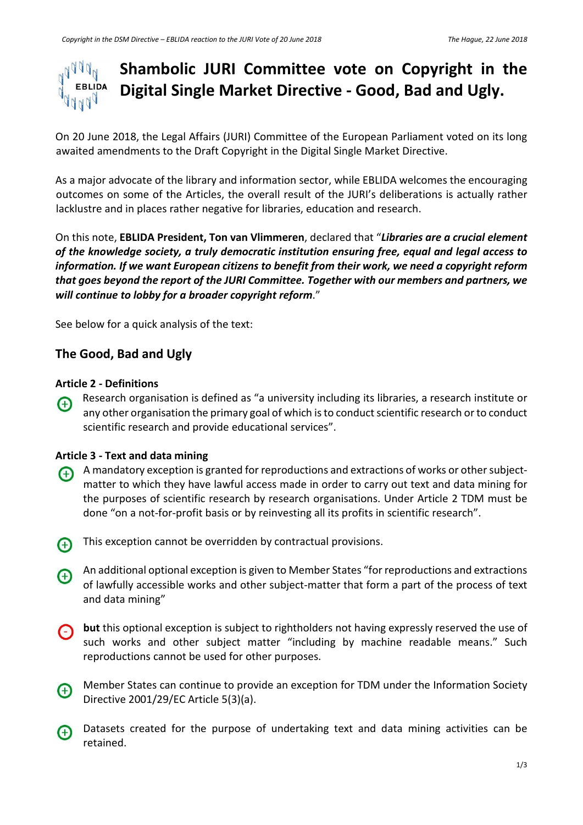# **Shambolic JURI Committee vote on Copyright in the**  $1004$ **EBLIDA Digital Single Market Directive - Good, Bad and Ugly.**

On 20 June 2018, the Legal Affairs (JURI) Committee of the European Parliament voted on its long awaited amendments to the Draft Copyright in the Digital Single Market Directive.

As a major advocate of the library and information sector, while EBLIDA welcomes the encouraging outcomes on some of the Articles, the overall result of the JURI's deliberations is actually rather lacklustre and in places rather negative for libraries, education and research.

On this note, **EBLIDA President, Ton van Vlimmeren**, declared that "*Libraries are a crucial element of the knowledge society, a truly democratic institution ensuring free, equal and legal access to information. If we want European citizens to benefit from their work, we need a copyright reform that goes beyond the report of the JURI Committee. Together with our members and partners, we will continue to lobby for a broader copyright reform*."

See below for a quick analysis of the text:

# **The Good, Bad and Ugly**

### **Article 2 - Definitions**

Research organisation is defined as "a university including its libraries, a research institute or <sup><sup>+</sup></sup> any other organisation the primary goal of which is to conduct scientific research or to conduct scientific research and provide educational services".

## **Article 3 - Text and data mining**

- A mandatory exception is granted for reproductions and extractions of works or other subject- $\bigoplus$ matter to which they have lawful access made in order to carry out text and data mining for the purposes of scientific research by research organisations. Under Article 2 TDM must be done "on a not-for-profit basis or by reinvesting all its profits in scientific research".
- This exception cannot be overridden by contractual provisions.
- An additional optional exception is given to Member States "for reproductions and extractions  $\bigoplus$ of lawfully accessible works and other subject-matter that form a part of the process of text and data mining"
- **but** this optional exception is subject to rightholders not having expressly reserved the use of  $\Theta$ such works and other subject matter "including by machine readable means." Such reproductions cannot be used for other purposes.
- Member States can continue to provide an exception for TDM under the Information Society  $\bigoplus$ Directive 2001/29/EC Article 5(3)(a).
- Datasets created for the purpose of undertaking text and data mining activities can be  $\bigoplus$ retained.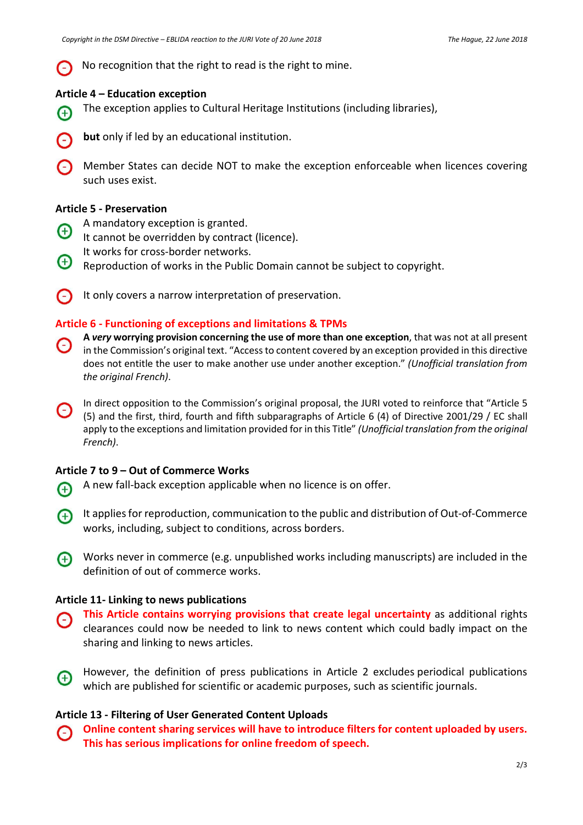No recognition that the right to read is the right to mine.

### **Article 4 – Education exception**

- The exception applies to Cultural Heritage Institutions (including libraries),  $\bigoplus$
- **but** only if led by an educational institution.
- Member States can decide NOT to make the exception enforceable when licences covering such uses exist.

### **Article 5 - Preservation**

- A mandatory exception is granted.
- $\bigoplus$ It cannot be overridden by contract (licence).
- It works for cross-border networks.
- $\bigoplus$ Reproduction of works in the Public Domain cannot be subject to copyright.
- It only covers a narrow interpretation of preservation.

### **Article 6 - Functioning of exceptions and limitations & TPMs**

- **A** *very* **worrying provision concerning the use of more than one exception**, that was not at all present ⊖ in the Commission's original text. "Accessto content covered by an exception provided in this directive does not entitle the user to make another use under another exception." *(Unofficial translation from the original French)*.
- In direct opposition to the Commission's original proposal, the JURI voted to reinforce that "Article 5 (5) and the first, third, fourth and fifth subparagraphs of Article 6 (4) of Directive 2001/29 / EC shall apply to the exceptions and limitation provided for in this Title" *(Unofficial translation from the original French)*.

### **Article 7 to 9 – Out of Commerce Works**

- A new fall-back exception applicable when no licence is on offer. <sup>4</sup>
- It appliesfor reproduction, communication to the public and distribution of Out-of-Commerce  $\bigoplus$ works, including, subject to conditions, across borders.
- Works never in commerce (e.g. unpublished works including manuscripts) are included in the definition of out of commerce works.

### **Article 11- Linking to news publications**

- **This Article contains worrying provisions that create legal uncertainty** as additional rights  $\bigcap$ clearances could now be needed to link to news content which could badly impact on the sharing and linking to news articles.
- However, the definition of press publications in Article 2 excludes periodical publications  $\bigoplus$ which are published for scientific or academic purposes, such as scientific journals.

### **Article 13 - Filtering of User Generated Content Uploads**

**Online content sharing services will have to introduce filters for content uploaded by users.** ⊙ **This has serious implications for online freedom of speech.**